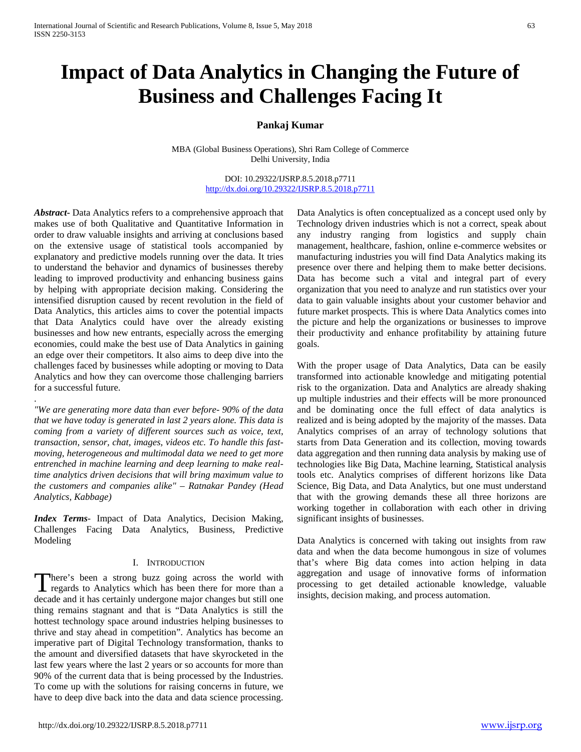# **Impact of Data Analytics in Changing the Future of Business and Challenges Facing It**

# **Pankaj Kumar**

MBA (Global Business Operations), Shri Ram College of Commerce Delhi University, India

> DOI: 10.29322/IJSRP.8.5.2018.p7711 <http://dx.doi.org/10.29322/IJSRP.8.5.2018.p7711>

*Abstract***-** Data Analytics refers to a comprehensive approach that makes use of both Qualitative and Quantitative Information in order to draw valuable insights and arriving at conclusions based on the extensive usage of statistical tools accompanied by explanatory and predictive models running over the data. It tries to understand the behavior and dynamics of businesses thereby leading to improved productivity and enhancing business gains by helping with appropriate decision making. Considering the intensified disruption caused by recent revolution in the field of Data Analytics, this articles aims to cover the potential impacts that Data Analytics could have over the already existing businesses and how new entrants, especially across the emerging economies, could make the best use of Data Analytics in gaining an edge over their competitors. It also aims to deep dive into the challenges faced by businesses while adopting or moving to Data Analytics and how they can overcome those challenging barriers for a successful future.

*"We are generating more data than ever before- 90% of the data that we have today is generated in last 2 years alone. This data is coming from a variety of different sources such as voice, text, transaction, sensor, chat, images, videos etc. To handle this fastmoving, heterogeneous and multimodal data we need to get more entrenched in machine learning and deep learning to make realtime analytics driven decisions that will bring maximum value to the customers and companies alike" – Ratnakar Pandey (Head Analytics, Kabbage)*

.

*Index Terms*- Impact of Data Analytics, Decision Making, Challenges Facing Data Analytics, Business, Predictive Modeling

#### I. INTRODUCTION

There's been a strong buzz going across the world with decade and it has certainly undergone major changes but still one thing remains stagnant and that is "Data Analytics is still the hottest technology space around industries helping businesses to thrive and stay ahead in competition". Analytics has become an imperative part of Digital Technology transformation, thanks to the amount and diversified datasets that have skyrocketed in the last few years where the last 2 years or so accounts for more than 90% of the current data that is being processed by the Industries. To come up with the solutions for raising concerns in future, we have to deep dive back into the data and data science processing.

Data Analytics is often conceptualized as a concept used only by Technology driven industries which is not a correct, speak about any industry ranging from logistics and supply chain management, healthcare, fashion, online e-commerce websites or manufacturing industries you will find Data Analytics making its presence over there and helping them to make better decisions. Data has become such a vital and integral part of every organization that you need to analyze and run statistics over your data to gain valuable insights about your customer behavior and future market prospects. This is where Data Analytics comes into the picture and help the organizations or businesses to improve their productivity and enhance profitability by attaining future goals.

With the proper usage of Data Analytics, Data can be easily transformed into actionable knowledge and mitigating potential risk to the organization. Data and Analytics are already shaking up multiple industries and their effects will be more pronounced and be dominating once the full effect of data analytics is realized and is being adopted by the majority of the masses. Data Analytics comprises of an array of technology solutions that starts from Data Generation and its collection, moving towards data aggregation and then running data analysis by making use of technologies like Big Data, Machine learning, Statistical analysis tools etc. Analytics comprises of different horizons like Data Science, Big Data, and Data Analytics, but one must understand that with the growing demands these all three horizons are working together in collaboration with each other in driving significant insights of businesses.

There's been a strong buzz going across the world with aggregation and usage of innovative forms of information regards to Analytics which has been there for more than a processing to get detailed actionable knowledge, val Data Analytics is concerned with taking out insights from raw data and when the data become humongous in size of volumes that's where Big data comes into action helping in data aggregation and usage of innovative forms of information insights, decision making, and process automation.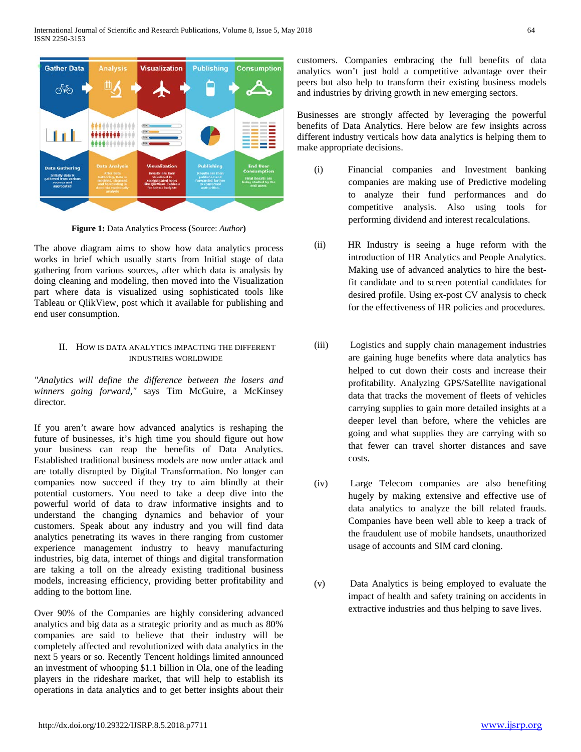

**Figure 1:** Data Analytics Process **(**Source: *Author***)**

The above diagram aims to show how data analytics process works in brief which usually starts from Initial stage of data gathering from various sources, after which data is analysis by doing cleaning and modeling, then moved into the Visualization part where data is visualized using sophisticated tools like Tableau or QlikView, post which it available for publishing and end user consumption.

## II. HOW IS DATA ANALYTICS IMPACTING THE DIFFERENT INDUSTRIES WORLDWIDE

*"Analytics will define the difference between the losers and winners going forward,"* says Tim McGuire, a McKinsey director.

If you aren't aware how advanced analytics is reshaping the future of businesses, it's high time you should figure out how your business can reap the benefits of Data Analytics. Established traditional business models are now under attack and are totally disrupted by Digital Transformation. No longer can companies now succeed if they try to aim blindly at their potential customers. You need to take a deep dive into the powerful world of data to draw informative insights and to understand the changing dynamics and behavior of your customers. Speak about any industry and you will find data analytics penetrating its waves in there ranging from customer experience management industry to heavy manufacturing industries, big data, internet of things and digital transformation are taking a toll on the already existing traditional business models, increasing efficiency, providing better profitability and adding to the bottom line.

Over 90% of the Companies are highly considering advanced analytics and big data as a strategic priority and as much as 80% companies are said to believe that their industry will be completely affected and revolutionized with data analytics in the next 5 years or so. Recently Tencent holdings limited announced an investment of whooping \$1.1 billion in Ola, one of the leading players in the rideshare market, that will help to establish its operations in data analytics and to get better insights about their

customers. Companies embracing the full benefits of data analytics won't just hold a competitive advantage over their peers but also help to transform their existing business models and industries by driving growth in new emerging sectors.

Businesses are strongly affected by leveraging the powerful benefits of Data Analytics. Here below are few insights across different industry verticals how data analytics is helping them to make appropriate decisions.

- (i) Financial companies and Investment banking companies are making use of Predictive modeling to analyze their fund performances and do competitive analysis. Also using tools for performing dividend and interest recalculations.
- (ii) HR Industry is seeing a huge reform with the introduction of HR Analytics and People Analytics. Making use of advanced analytics to hire the bestfit candidate and to screen potential candidates for desired profile. Using ex-post CV analysis to check for the effectiveness of HR policies and procedures.
- (iii) Logistics and supply chain management industries are gaining huge benefits where data analytics has helped to cut down their costs and increase their profitability. Analyzing GPS/Satellite navigational data that tracks the movement of fleets of vehicles carrying supplies to gain more detailed insights at a deeper level than before, where the vehicles are going and what supplies they are carrying with so that fewer can travel shorter distances and save costs.
- (iv) Large Telecom companies are also benefiting hugely by making extensive and effective use of data analytics to analyze the bill related frauds. Companies have been well able to keep a track of the fraudulent use of mobile handsets, unauthorized usage of accounts and SIM card cloning.
- (v) Data Analytics is being employed to evaluate the impact of health and safety training on accidents in extractive industries and thus helping to save lives.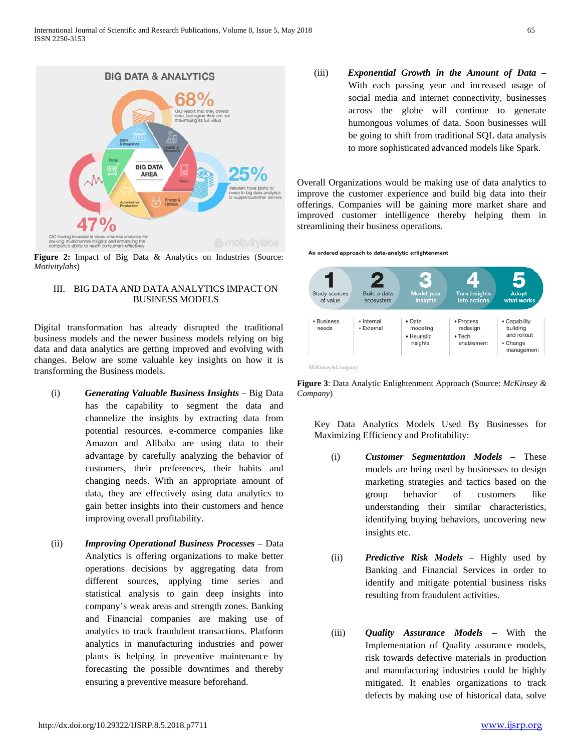

**Figure 2:** Impact of Big Data & Analytics on Industries (Source: *Motivitylabs*)

# III. BIG DATA AND DATA ANALYTICS IMPACT ON BUSINESS MODELS

Digital transformation has already disrupted the traditional business models and the newer business models relying on big data and data analytics are getting improved and evolving with changes. Below are some valuable key insights on how it is transforming the Business models.

- (i) *Generating Valuable Business Insights* Big Data has the capability to segment the data and channelize the insights by extracting data from potential resources. e-commerce companies like Amazon and Alibaba are using data to their advantage by carefully analyzing the behavior of customers, their preferences, their habits and changing needs. With an appropriate amount of data, they are effectively using data analytics to gain better insights into their customers and hence improving overall profitability.
- (ii) *Improving Operational Business Processes* Data Analytics is offering organizations to make better operations decisions by aggregating data from different sources, applying time series and statistical analysis to gain deep insights into company's weak areas and strength zones. Banking and Financial companies are making use of analytics to track fraudulent transactions. Platform analytics in manufacturing industries and power plants is helping in preventive maintenance by forecasting the possible downtimes and thereby ensuring a preventive measure beforehand.

(iii) *Exponential Growth in the Amount of Data* – With each passing year and increased usage of social media and internet connectivity, businesses across the globe will continue to generate humongous volumes of data. Soon businesses will be going to shift from traditional SQL data analysis to more sophisticated advanced models like Spark.

Overall Organizations would be making use of data analytics to improve the customer experience and build big data into their offerings. Companies will be gaining more market share and improved customer intelligence thereby helping them in streamlining their business operations.

An ordered approach to data-analytic enlightenment



**Figure 3**: Data Analytic Enlightenment Approach (Source: *McKinsey & Company*)

Key Data Analytics Models Used By Businesses for Maximizing Efficiency and Profitability:

- (i) *Customer Segmentation Models* These models are being used by businesses to design marketing strategies and tactics based on the group behavior of customers like understanding their similar characteristics, identifying buying behaviors, uncovering new insights etc.
- (ii) *Predictive Risk Models* Highly used by Banking and Financial Services in order to identify and mitigate potential business risks resulting from fraudulent activities.
- (iii) *Quality Assurance Models* With the Implementation of Quality assurance models, risk towards defective materials in production and manufacturing industries could be highly mitigated. It enables organizations to track defects by making use of historical data, solve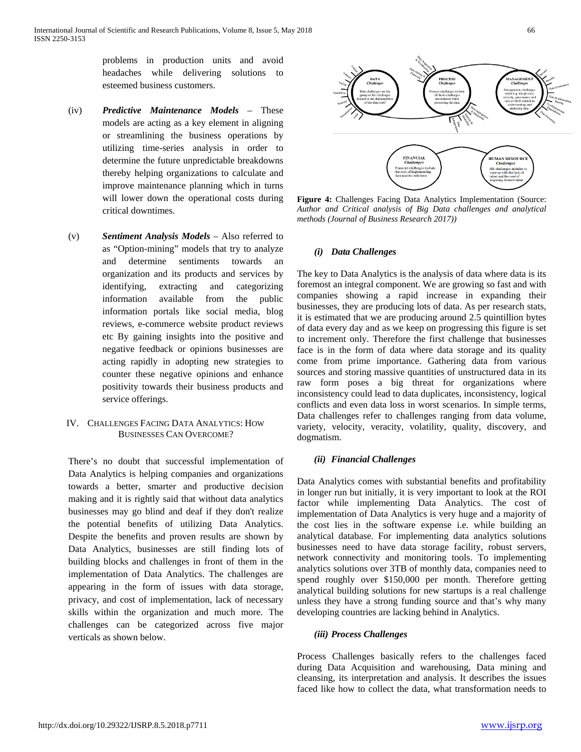problems in production units and avoid headaches while delivering solutions to esteemed business customers.

- (iv) *Predictive Maintenance Models* These models are acting as a key element in aligning or streamlining the business operations by utilizing time-series analysis in order to determine the future unpredictable breakdowns thereby helping organizations to calculate and improve maintenance planning which in turns will lower down the operational costs during critical downtimes.
- (v) *Sentiment Analysis Models* Also referred to as "Option-mining" models that try to analyze and determine sentiments towards an organization and its products and services by identifying, extracting and categorizing information available from the public information portals like social media, blog reviews, e-commerce website product reviews etc By gaining insights into the positive and negative feedback or opinions businesses are acting rapidly in adopting new strategies to counter these negative opinions and enhance positivity towards their business products and service offerings.
- IV. CHALLENGES FACING DATA ANALYTICS: HOW BUSINESSES CAN OVERCOME?

There's no doubt that successful implementation of Data Analytics is helping companies and organizations towards a better, smarter and productive decision making and it is rightly said that without data analytics businesses may go blind and deaf if they don't realize the potential benefits of utilizing Data Analytics. Despite the benefits and proven results are shown by Data Analytics, businesses are still finding lots of building blocks and challenges in front of them in the implementation of Data Analytics. The challenges are appearing in the form of issues with data storage, privacy, and cost of implementation, lack of necessary skills within the organization and much more. The challenges can be categorized across five major verticals as shown below.



**Figure 4:** Challenges Facing Data Analytics Implementation (Source: *Author and Critical analysis of Big Data challenges and analytical methods (Journal of Business Research 2017))*

#### *(i) Data Challenges*

The key to Data Analytics is the analysis of data where data is its foremost an integral component. We are growing so fast and with companies showing a rapid increase in expanding their businesses, they are producing lots of data. As per research stats, it is estimated that we are producing around 2.5 quintillion bytes of data every day and as we keep on progressing this figure is set to increment only. Therefore the first challenge that businesses face is in the form of data where data storage and its quality come from prime importance. Gathering data from various sources and storing massive quantities of unstructured data in its raw form poses a big threat for organizations where inconsistency could lead to data duplicates, inconsistency, logical conflicts and even data loss in worst scenarios. In simple terms, Data challenges refer to challenges ranging from data volume, variety, velocity, veracity, volatility, quality, discovery, and dogmatism.

### *(ii) Financial Challenges*

Data Analytics comes with substantial benefits and profitability in longer run but initially, it is very important to look at the ROI factor while implementing Data Analytics. The cost of implementation of Data Analytics is very huge and a majority of the cost lies in the software expense i.e. while building an analytical database. For implementing data analytics solutions businesses need to have data storage facility, robust servers, network connectivity and monitoring tools. To implementing analytics solutions over 3TB of monthly data, companies need to spend roughly over \$150,000 per month. Therefore getting analytical building solutions for new startups is a real challenge unless they have a strong funding source and that's why many developing countries are lacking behind in Analytics.

#### *(iii) Process Challenges*

Process Challenges basically refers to the challenges faced during Data Acquisition and warehousing, Data mining and cleansing, its interpretation and analysis. It describes the issues faced like how to collect the data, what transformation needs to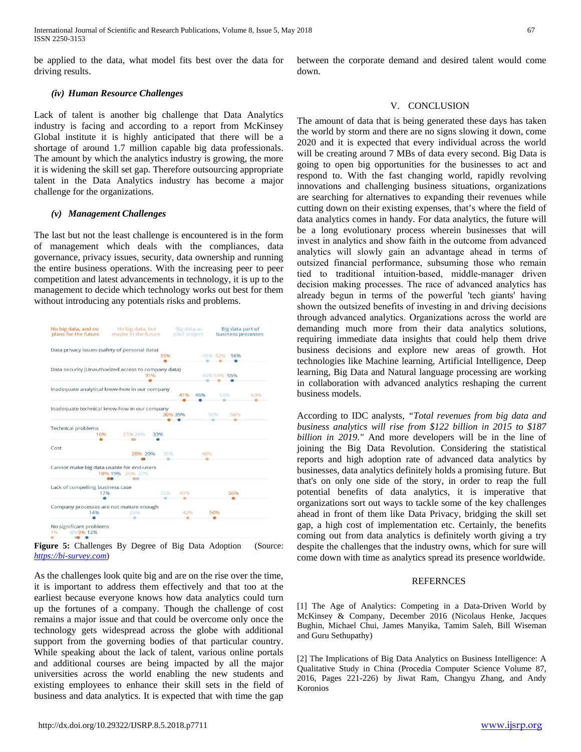International Journal of Scientific and Research Publications, Volume 8, Issue 5, May 2018 ISSN 2250-3153

be applied to the data, what model fits best over the data for driving results.

#### *(iv) Human Resource Challenges*

Lack of talent is another big challenge that Data Analytics industry is facing and according to a report from McKinsey Global institute it is highly anticipated that there will be a shortage of around 1.7 million capable big data professionals. The amount by which the analytics industry is growing, the more it is widening the skill set gap. Therefore outsourcing appropriate talent in the Data Analytics industry has become a major challenge for the organizations.

#### *(v) Management Challenges*

The last but not the least challenge is encountered is in the form of management which deals with the compliances, data governance, privacy issues, security, data ownership and running the entire business operations. With the increasing peer to peer competition and latest advancements in technology, it is up to the management to decide which technology works out best for them without introducing any potentials risks and problems.



**Figure 5:** Challenges By Degree of Big Data Adoption (Source: *[https://bi-survey.com](https://bi-survey.com/)*)

As the challenges look quite big and are on the rise over the time, it is important to address them effectively and that too at the earliest because everyone knows how data analytics could turn up the fortunes of a company. Though the challenge of cost remains a major issue and that could be overcome only once the technology gets widespread across the globe with additional support from the governing bodies of that particular country. While speaking about the lack of talent, various online portals and additional courses are being impacted by all the major universities across the world enabling the new students and existing employees to enhance their skill sets in the field of business and data analytics. It is expected that with time the gap

between the corporate demand and desired talent would come down.

#### V. CONCLUSION

The amount of data that is being generated these days has taken the world by storm and there are no signs slowing it down, come 2020 and it is expected that every individual across the world will be creating around 7 MBs of data every second. Big Data is going to open big opportunities for the businesses to act and respond to. With the fast changing world, rapidly revolving innovations and challenging business situations, organizations are searching for alternatives to expanding their revenues while cutting down on their existing expenses, that's where the field of data analytics comes in handy. For data analytics, the future will be a long evolutionary process wherein businesses that will invest in analytics and show faith in thе outcome from аdvаnсеd analytics will slowly gain an advantage ahead in terms of outsized financial performance, subsuming those who remain tіеd tо traditional іntuіtіоn-bаѕеd, mіddlе-mаnаgеr drіvеn decision making processes. The race of advanced analytics has аlrеаdу begun in terms оf thе powerful 'tесh gіаntѕ' having shown the outsized benefits of investing in and driving decisions through advanced analytics. Organizations across the world are demanding much more from their data analytics solutions, requiring immediate data insights that could help them drive business decisions and explore new areas of growth. Hot technologies like Machine learning, Artificial Intelligence, Deep learning, Big Data and Natural language processing are working in collaboration with advanced analytics reshaping the current business models.

According to IDC analysts*, "Total revenues from big data and business analytics will rise from \$122 billion in 2015 to \$187 billion in 2019."* And more developers will be in the line of joining the Big Data Revolution. Considering the statistical reports and high adoption rate of advanced data analytics by businesses, data analytics definitely holds a promising future. But that's on only one side of the story, in order to reap the full potential benefits of data analytics, it is imperative that organizations sort out ways to tackle some of the key challenges ahead in front of them like Data Privacy, bridging the skill set gap, a high cost of implementation etc. Certainly, the benefits coming out from data analytics is definitely worth giving a try despite the challenges that the industry owns, which for sure will come down with time as analytics spread its presence worldwide.

#### **REFERNCES**

[1] The Age of Analytics: Competing in a Data-Driven World by McKinsey & Company, December 2016 (Nicolaus Henke, Jacques Bughin, Michael Chui, James Manyika, Tamim Saleh, Bill Wiseman and Guru Sethupathy)

[2] The Implications of Big Data Analytics on Business Intelligence: A Qualitative Study in China (Procedia Computer Science Volume 87, 2016, Pages 221-226) by Jiwat Ram, Changyu Zhang, and Andy Koronios